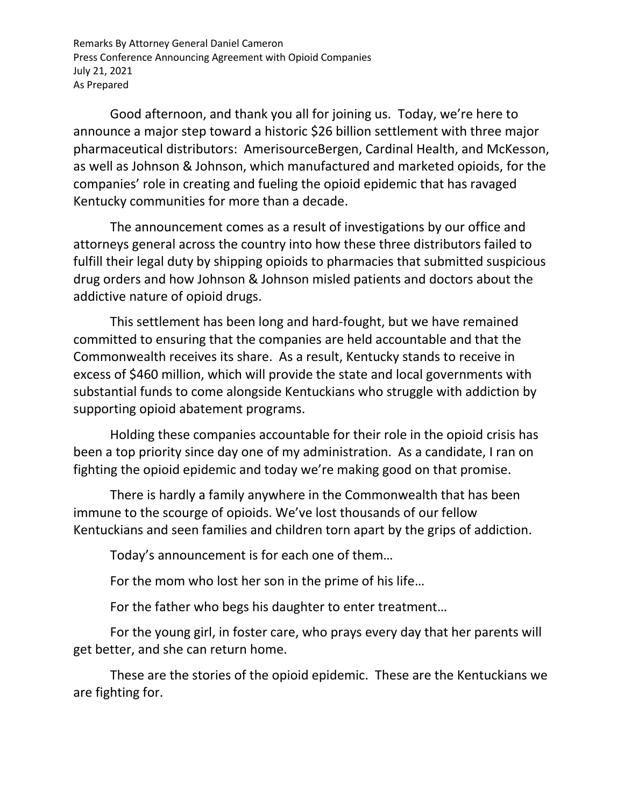Remarks By Attorney General Daniel Cameron Press Conference Announcing Agreement with Opioid Companies July 21, 2021 As Prepared

Good afternoon, and thank you all for joining us. Today, we're here to announce a major step toward a historic \$26 billion settlement with three major pharmaceutical distributors: AmerisourceBergen, Cardinal Health, and McKesson, as well as Johnson & Johnson, which manufactured and marketed opioids, for the companies' role in creating and fueling the opioid epidemic that has ravaged Kentucky communities for more than a decade.

The announcement comes as a result of investigations by our office and attorneys general across the country into how these three distributors failed to fulfill their legal duty by shipping opioids to pharmacies that submitted suspicious drug orders and how Johnson & Johnson misled patients and doctors about the addictive nature of opioid drugs.

This settlement has been long and hard-fought, but we have remained committed to ensuring that the companies are held accountable and that the Commonwealth receives its share. As a result, Kentucky stands to receive in excess of \$460 million, which will provide the state and local governments with substantial funds to come alongside Kentuckians who struggle with addiction by supporting opioid abatement programs.

Holding these companies accountable for their role in the opioid crisis has been a top priority since day one of my administration. As a candidate, I ran on fighting the opioid epidemic and today we're making good on that promise.

There is hardly a family anywhere in the Commonwealth that has been immune to the scourge of opioids. We've lost thousands of our fellow Kentuckians and seen families and children torn apart by the grips of addiction.

Today's announcement is for each one of them…

For the mom who lost her son in the prime of his life…

For the father who begs his daughter to enter treatment…

For the young girl, in foster care, who prays every day that her parents will get better, and she can return home.

These are the stories of the opioid epidemic. These are the Kentuckians we are fighting for.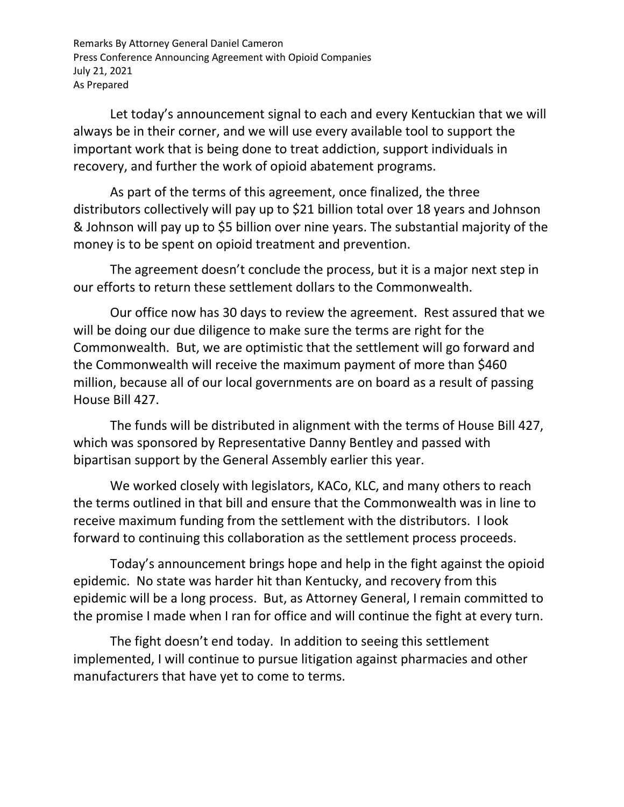Remarks By Attorney General Daniel Cameron Press Conference Announcing Agreement with Opioid Companies July 21, 2021 As Prepared

Let today's announcement signal to each and every Kentuckian that we will always be in their corner, and we will use every available tool to support the important work that is being done to treat addiction, support individuals in recovery, and further the work of opioid abatement programs.

As part of the terms of this agreement, once finalized, the three distributors collectively will pay up to \$21 billion total over 18 years and Johnson & Johnson will pay up to \$5 billion over nine years. The substantial majority of the money is to be spent on opioid treatment and prevention.

The agreement doesn't conclude the process, but it is a major next step in our efforts to return these settlement dollars to the Commonwealth.

Our office now has 30 days to review the agreement. Rest assured that we will be doing our due diligence to make sure the terms are right for the Commonwealth. But, we are optimistic that the settlement will go forward and the Commonwealth will receive the maximum payment of more than \$460 million, because all of our local governments are on board as a result of passing House Bill 427.

The funds will be distributed in alignment with the terms of House Bill 427, which was sponsored by Representative Danny Bentley and passed with bipartisan support by the General Assembly earlier this year.

We worked closely with legislators, KACo, KLC, and many others to reach the terms outlined in that bill and ensure that the Commonwealth was in line to receive maximum funding from the settlement with the distributors. I look forward to continuing this collaboration as the settlement process proceeds.

Today's announcement brings hope and help in the fight against the opioid epidemic. No state was harder hit than Kentucky, and recovery from this epidemic will be a long process. But, as Attorney General, I remain committed to the promise I made when I ran for office and will continue the fight at every turn.

The fight doesn't end today. In addition to seeing this settlement implemented, I will continue to pursue litigation against pharmacies and other manufacturers that have yet to come to terms.